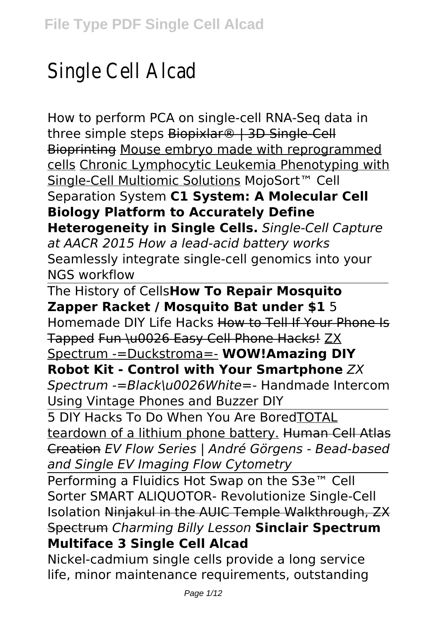# Single Cell Alcad

How to perform PCA on single-cell RNA-Seq data in three simple steps Biopixlar® | 3D Single-Cell Bioprinting Mouse embryo made with reprogrammed cells Chronic Lymphocytic Leukemia Phenotyping with Single-Cell Multiomic Solutions MojoSort™ Cell Separation System **C1 System: A Molecular Cell Biology Platform to Accurately Define Heterogeneity in Single Cells.** *Single-Cell Capture at AACR 2015 How a lead-acid battery works* Seamlessly integrate single-cell genomics into your NGS workflow

#### The History of Cells**How To Repair Mosquito Zapper Racket / Mosquito Bat under \$1** 5

Homemade DIY Life Hacks How to Tell If Your Phone Is Tapped Fun \u0026 Easy Cell Phone Hacks! ZX Spectrum -=Duckstroma=- **WOW!Amazing DIY**

#### **Robot Kit - Control with Your Smartphone** *ZX*

*Spectrum -=Black\u0026White=-* Handmade Intercom Using Vintage Phones and Buzzer DIY

5 DIY Hacks To Do When You Are BoredTOTAL teardown of a lithium phone battery. Human Cell Atlas Creation *EV Flow Series | André Görgens - Bead-based and Single EV Imaging Flow Cytometry*

Performing a Fluidics Hot Swap on the S3e™ Cell Sorter SMART ALIQUOTOR- Revolutionize Single-Cell Isolation Ninjakul in the AUIC Temple Walkthrough, ZX Spectrum *Charming Billy Lesson* **Sinclair Spectrum Multiface 3 Single Cell Alcad**

Nickel-cadmium single cells provide a long service life, minor maintenance requirements, outstanding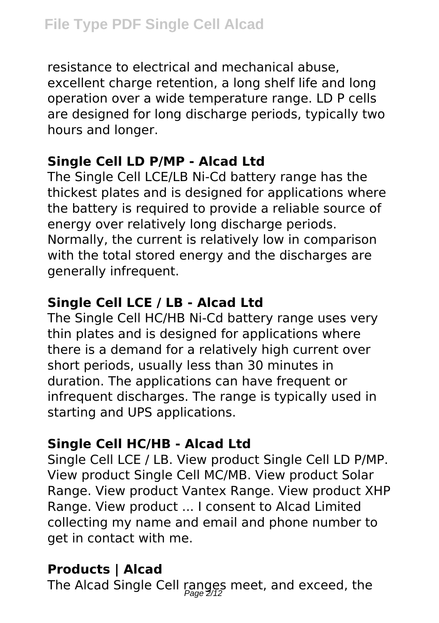resistance to electrical and mechanical abuse, excellent charge retention, a long shelf life and long operation over a wide temperature range. LD P cells are designed for long discharge periods, typically two hours and longer.

## **Single Cell LD P/MP - Alcad Ltd**

The Single Cell LCE/LB Ni-Cd battery range has the thickest plates and is designed for applications where the battery is required to provide a reliable source of energy over relatively long discharge periods. Normally, the current is relatively low in comparison with the total stored energy and the discharges are generally infrequent.

## **Single Cell LCE / LB - Alcad Ltd**

The Single Cell HC/HB Ni-Cd battery range uses very thin plates and is designed for applications where there is a demand for a relatively high current over short periods, usually less than 30 minutes in duration. The applications can have frequent or infrequent discharges. The range is typically used in starting and UPS applications.

#### **Single Cell HC/HB - Alcad Ltd**

Single Cell LCE / LB. View product Single Cell LD P/MP. View product Single Cell MC/MB. View product Solar Range. View product Vantex Range. View product XHP Range. View product ... I consent to Alcad Limited collecting my name and email and phone number to get in contact with me.

# **Products | Alcad**

The Alcad Single Cell ranges meet, and exceed, the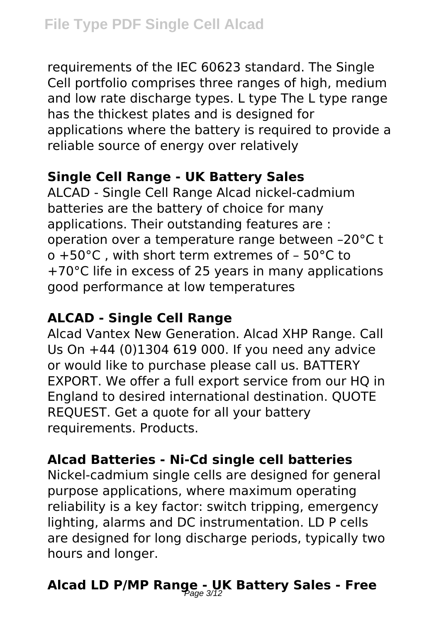requirements of the IEC 60623 standard. The Single Cell portfolio comprises three ranges of high, medium and low rate discharge types. L type The L type range has the thickest plates and is designed for applications where the battery is required to provide a reliable source of energy over relatively

### **Single Cell Range - UK Battery Sales**

ALCAD - Single Cell Range Alcad nickel-cadmium batteries are the battery of choice for many applications. Their outstanding features are : operation over a temperature range between –20°C t o +50°C , with short term extremes of – 50°C to +70°C life in excess of 25 years in many applications good performance at low temperatures

### **ALCAD - Single Cell Range**

Alcad Vantex New Generation. Alcad XHP Range. Call Us On +44 (0)1304 619 000. If you need any advice or would like to purchase please call us. BATTERY EXPORT. We offer a full export service from our HQ in England to desired international destination. QUOTE REQUEST. Get a quote for all your battery requirements. Products.

## **Alcad Batteries - Ni-Cd single cell batteries**

Nickel-cadmium single cells are designed for general purpose applications, where maximum operating reliability is a key factor: switch tripping, emergency lighting, alarms and DC instrumentation. LD P cells are designed for long discharge periods, typically two hours and longer.

# Alcad LD P/MP Range - UK Battery Sales - Free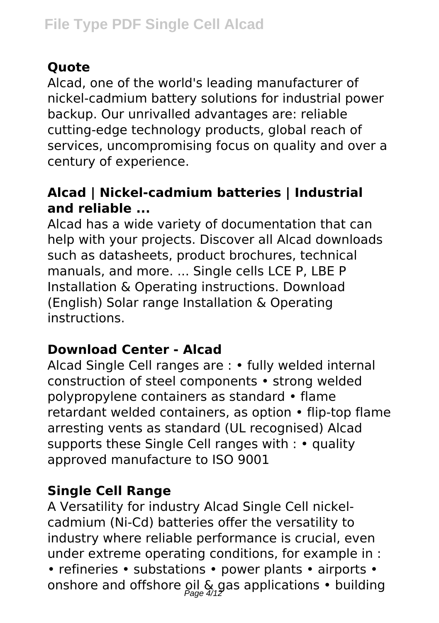# **Quote**

Alcad, one of the world's leading manufacturer of nickel-cadmium battery solutions for industrial power backup. Our unrivalled advantages are: reliable cutting-edge technology products, global reach of services, uncompromising focus on quality and over a century of experience.

## **Alcad | Nickel-cadmium batteries | Industrial and reliable ...**

Alcad has a wide variety of documentation that can help with your projects. Discover all Alcad downloads such as datasheets, product brochures, technical manuals, and more. ... Single cells LCE P, LBE P Installation & Operating instructions. Download (English) Solar range Installation & Operating instructions.

# **Download Center - Alcad**

Alcad Single Cell ranges are : • fully welded internal construction of steel components • strong welded polypropylene containers as standard • flame retardant welded containers, as option • flip-top flame arresting vents as standard (UL recognised) Alcad supports these Single Cell ranges with : • quality approved manufacture to ISO 9001

# **Single Cell Range**

A Versatility for industry Alcad Single Cell nickelcadmium (Ni-Cd) batteries offer the versatility to industry where reliable performance is crucial, even under extreme operating conditions, for example in : • refineries • substations • power plants • airports • onshore and offshore pil & gas applications • building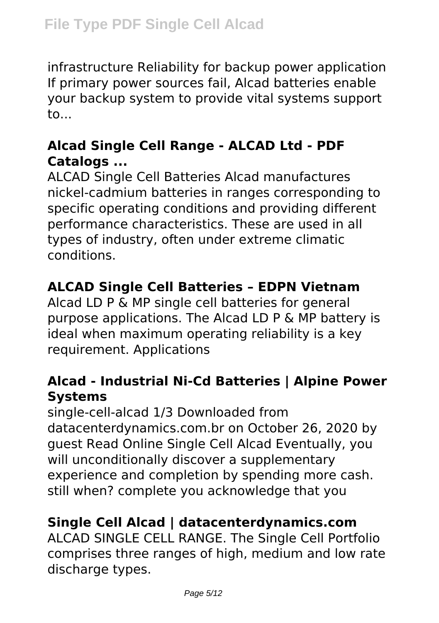infrastructure Reliability for backup power application If primary power sources fail, Alcad batteries enable your backup system to provide vital systems support to...

#### **Alcad Single Cell Range - ALCAD Ltd - PDF Catalogs ...**

ALCAD Single Cell Batteries Alcad manufactures nickel-cadmium batteries in ranges corresponding to specific operating conditions and providing different performance characteristics. These are used in all types of industry, often under extreme climatic conditions.

#### **ALCAD Single Cell Batteries – EDPN Vietnam**

Alcad LD P & MP single cell batteries for general purpose applications. The Alcad LD P & MP battery is ideal when maximum operating reliability is a key requirement. Applications

#### **Alcad - Industrial Ni-Cd Batteries | Alpine Power Systems**

single-cell-alcad 1/3 Downloaded from datacenterdynamics.com.br on October 26, 2020 by guest Read Online Single Cell Alcad Eventually, you will unconditionally discover a supplementary experience and completion by spending more cash. still when? complete you acknowledge that you

#### **Single Cell Alcad | datacenterdynamics.com**

ALCAD SINGLE CELL RANGE. The Single Cell Portfolio comprises three ranges of high, medium and low rate discharge types.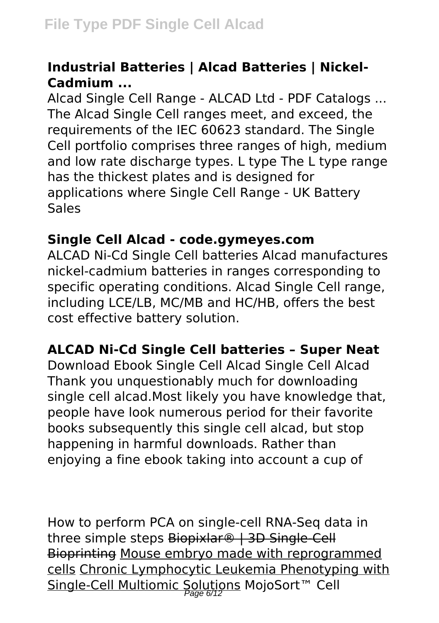#### **Industrial Batteries | Alcad Batteries | Nickel-Cadmium ...**

Alcad Single Cell Range - ALCAD Ltd - PDF Catalogs ... The Alcad Single Cell ranges meet, and exceed, the requirements of the IEC 60623 standard. The Single Cell portfolio comprises three ranges of high, medium and low rate discharge types. L type The L type range has the thickest plates and is designed for applications where Single Cell Range - UK Battery Sales

#### **Single Cell Alcad - code.gymeyes.com**

ALCAD Ni-Cd Single Cell batteries Alcad manufactures nickel-cadmium batteries in ranges corresponding to specific operating conditions. Alcad Single Cell range, including LCE/LB, MC/MB and HC/HB, offers the best cost effective battery solution.

## **ALCAD Ni-Cd Single Cell batteries – Super Neat**

Download Ebook Single Cell Alcad Single Cell Alcad Thank you unquestionably much for downloading single cell alcad.Most likely you have knowledge that, people have look numerous period for their favorite books subsequently this single cell alcad, but stop happening in harmful downloads. Rather than enjoying a fine ebook taking into account a cup of

How to perform PCA on single-cell RNA-Seq data in three simple steps Biopixlar<sup>®</sup> | 3D Single-Cell Bioprinting Mouse embryo made with reprogrammed cells Chronic Lymphocytic Leukemia Phenotyping with Single-Cell Multiomic Solutions MojoSort™ Cell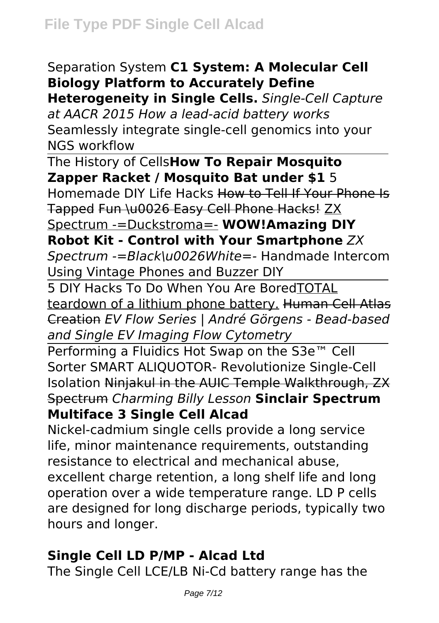### Separation System **C1 System: A Molecular Cell Biology Platform to Accurately Define**

**Heterogeneity in Single Cells.** *Single-Cell Capture at AACR 2015 How a lead-acid battery works* Seamlessly integrate single-cell genomics into your NGS workflow

The History of Cells**How To Repair Mosquito Zapper Racket / Mosquito Bat under \$1** 5

Homemade DIY Life Hacks How to Tell If Your Phone Is Tapped Fun \u0026 Easy Cell Phone Hacks! ZX

Spectrum -=Duckstroma=- **WOW!Amazing DIY Robot Kit - Control with Your Smartphone** *ZX*

*Spectrum -=Black\u0026White=-* Handmade Intercom Using Vintage Phones and Buzzer DIY

5 DIY Hacks To Do When You Are BoredTOTAL teardown of a lithium phone battery. Human Cell Atlas Creation *EV Flow Series | André Görgens - Bead-based and Single EV Imaging Flow Cytometry*

Performing a Fluidics Hot Swap on the S3e<sup>™</sup> Cell Sorter SMART ALIQUOTOR- Revolutionize Single-Cell Isolation Ninjakul in the AUIC Temple Walkthrough, ZX Spectrum *Charming Billy Lesson* **Sinclair Spectrum Multiface 3 Single Cell Alcad**

Nickel-cadmium single cells provide a long service life, minor maintenance requirements, outstanding resistance to electrical and mechanical abuse, excellent charge retention, a long shelf life and long operation over a wide temperature range. LD P cells are designed for long discharge periods, typically two hours and longer.

#### **Single Cell LD P/MP - Alcad Ltd**

The Single Cell LCE/LB Ni-Cd battery range has the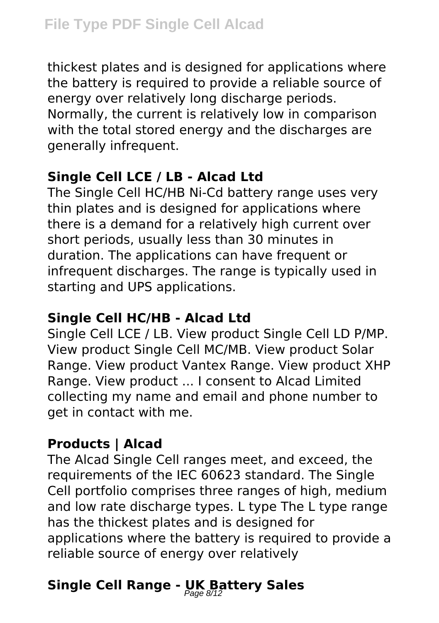thickest plates and is designed for applications where the battery is required to provide a reliable source of energy over relatively long discharge periods. Normally, the current is relatively low in comparison with the total stored energy and the discharges are generally infrequent.

### **Single Cell LCE / LB - Alcad Ltd**

The Single Cell HC/HB Ni-Cd battery range uses very thin plates and is designed for applications where there is a demand for a relatively high current over short periods, usually less than 30 minutes in duration. The applications can have frequent or infrequent discharges. The range is typically used in starting and UPS applications.

#### **Single Cell HC/HB - Alcad Ltd**

Single Cell LCE / LB. View product Single Cell LD P/MP. View product Single Cell MC/MB. View product Solar Range. View product Vantex Range. View product XHP Range. View product ... I consent to Alcad Limited collecting my name and email and phone number to get in contact with me.

## **Products | Alcad**

The Alcad Single Cell ranges meet, and exceed, the requirements of the IEC 60623 standard. The Single Cell portfolio comprises three ranges of high, medium and low rate discharge types. L type The L type range has the thickest plates and is designed for applications where the battery is required to provide a reliable source of energy over relatively

# **Single Cell Range - UK Battery Sales** Page 8/12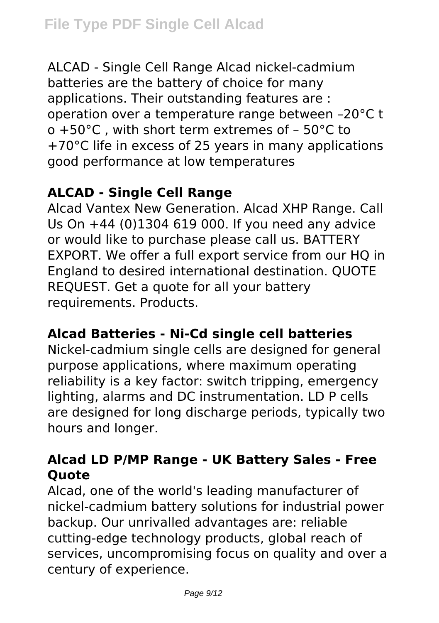ALCAD - Single Cell Range Alcad nickel-cadmium batteries are the battery of choice for many applications. Their outstanding features are : operation over a temperature range between –20°C t o +50°C , with short term extremes of – 50°C to +70°C life in excess of 25 years in many applications good performance at low temperatures

#### **ALCAD - Single Cell Range**

Alcad Vantex New Generation. Alcad XHP Range. Call Us On +44 (0)1304 619 000. If you need any advice or would like to purchase please call us. BATTERY EXPORT. We offer a full export service from our HO in England to desired international destination. QUOTE REQUEST. Get a quote for all your battery requirements. Products.

#### **Alcad Batteries - Ni-Cd single cell batteries**

Nickel-cadmium single cells are designed for general purpose applications, where maximum operating reliability is a key factor: switch tripping, emergency lighting, alarms and DC instrumentation. LD P cells are designed for long discharge periods, typically two hours and longer.

#### **Alcad LD P/MP Range - UK Battery Sales - Free Quote**

Alcad, one of the world's leading manufacturer of nickel-cadmium battery solutions for industrial power backup. Our unrivalled advantages are: reliable cutting-edge technology products, global reach of services, uncompromising focus on quality and over a century of experience.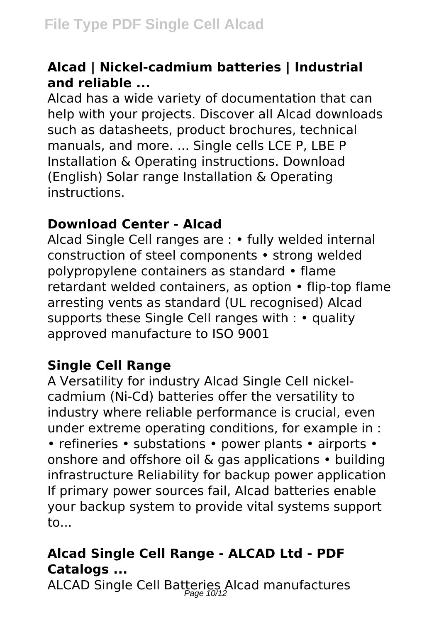#### **Alcad | Nickel-cadmium batteries | Industrial and reliable ...**

Alcad has a wide variety of documentation that can help with your projects. Discover all Alcad downloads such as datasheets, product brochures, technical manuals, and more. ... Single cells LCE P, LBE P Installation & Operating instructions. Download (English) Solar range Installation & Operating instructions.

#### **Download Center - Alcad**

Alcad Single Cell ranges are : • fully welded internal construction of steel components • strong welded polypropylene containers as standard • flame retardant welded containers, as option • flip-top flame arresting vents as standard (UL recognised) Alcad supports these Single Cell ranges with : • quality approved manufacture to ISO 9001

## **Single Cell Range**

A Versatility for industry Alcad Single Cell nickelcadmium (Ni-Cd) batteries offer the versatility to industry where reliable performance is crucial, even under extreme operating conditions, for example in : • refineries • substations • power plants • airports • onshore and offshore oil & gas applications • building infrastructure Reliability for backup power application If primary power sources fail, Alcad batteries enable your backup system to provide vital systems support to...

# **Alcad Single Cell Range - ALCAD Ltd - PDF Catalogs ...**

ALCAD Single Cell Batteries Alcad manufactures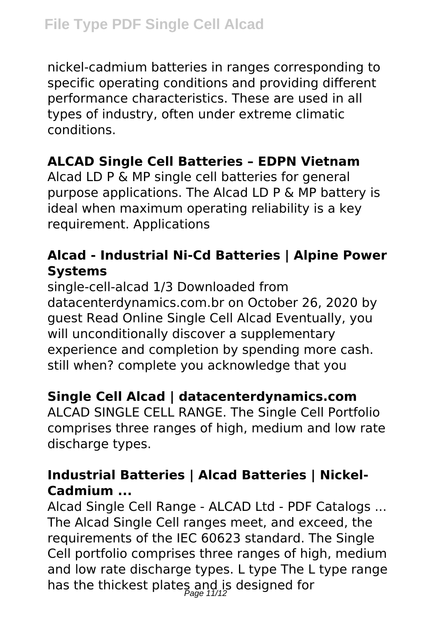nickel-cadmium batteries in ranges corresponding to specific operating conditions and providing different performance characteristics. These are used in all types of industry, often under extreme climatic conditions.

# **ALCAD Single Cell Batteries – EDPN Vietnam**

Alcad LD P & MP single cell batteries for general purpose applications. The Alcad LD P & MP battery is ideal when maximum operating reliability is a key requirement. Applications

## **Alcad - Industrial Ni-Cd Batteries | Alpine Power Systems**

single-cell-alcad 1/3 Downloaded from datacenterdynamics.com.br on October 26, 2020 by guest Read Online Single Cell Alcad Eventually, you will unconditionally discover a supplementary experience and completion by spending more cash. still when? complete you acknowledge that you

# **Single Cell Alcad | datacenterdynamics.com**

ALCAD SINGLE CELL RANGE. The Single Cell Portfolio comprises three ranges of high, medium and low rate discharge types.

#### **Industrial Batteries | Alcad Batteries | Nickel-Cadmium ...**

Alcad Single Cell Range - ALCAD Ltd - PDF Catalogs ... The Alcad Single Cell ranges meet, and exceed, the requirements of the IEC 60623 standard. The Single Cell portfolio comprises three ranges of high, medium and low rate discharge types. L type The L type range has the thickest plates and is designed for